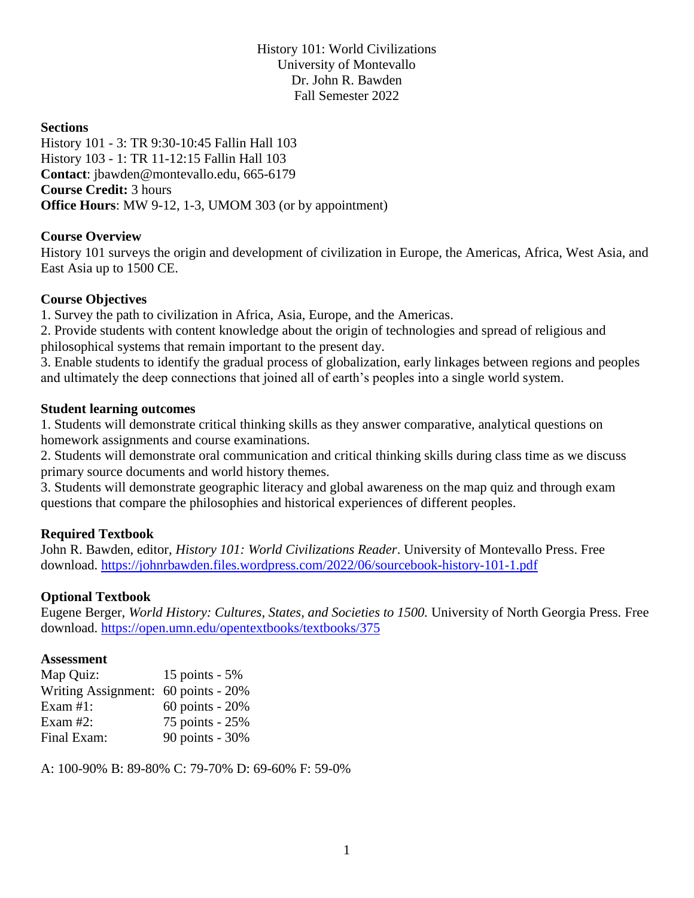History 101: World Civilizations University of Montevallo Dr. John R. Bawden Fall Semester 2022

#### **Sections**

History 101 - 3: TR 9:30-10:45 Fallin Hall 103 History 103 - 1: TR 11-12:15 Fallin Hall 103 **Contact**: [jbawden@montevallo.edu,](mailto:jbawden@montevallo.edu) 665-6179 **Course Credit:** 3 hours **Office Hours**: MW 9-12, 1-3, UMOM 303 (or by appointment)

#### **Course Overview**

History 101 surveys the origin and development of civilization in Europe, the Americas, Africa, West Asia, and East Asia up to 1500 CE.

#### **Course Objectives**

1. Survey the path to civilization in Africa, Asia, Europe, and the Americas.

2. Provide students with content knowledge about the origin of technologies and spread of religious and philosophical systems that remain important to the present day.

3. Enable students to identify the gradual process of globalization, early linkages between regions and peoples and ultimately the deep connections that joined all of earth's peoples into a single world system.

#### **Student learning outcomes**

1. Students will demonstrate critical thinking skills as they answer comparative, analytical questions on homework assignments and course examinations.

2. Students will demonstrate oral communication and critical thinking skills during class time as we discuss primary source documents and world history themes.

3. Students will demonstrate geographic literacy and global awareness on the map quiz and through exam questions that compare the philosophies and historical experiences of different peoples.

#### **Required Textbook**

John R. Bawden, editor, *History 101: World Civilizations Reader*. University of Montevallo Press. Free download.<https://johnrbawden.files.wordpress.com/2022/06/sourcebook-history-101-1.pdf>

#### **Optional Textbook**

Eugene Berger, *World History: Cultures, States, and Societies to 1500.* University of North Georgia Press. Free download.<https://open.umn.edu/opentextbooks/textbooks/375>

#### **Assessment**

| Map Quiz:                           | 15 points - 5%      |
|-------------------------------------|---------------------|
| Writing Assignment: 60 points - 20% |                     |
| Exam #1:                            | $60$ points - $20%$ |
| Exam #2:                            | 75 points - 25%     |
| Final Exam:                         | 90 points - 30%     |

A: 100-90% B: 89-80% C: 79-70% D: 69-60% F: 59-0%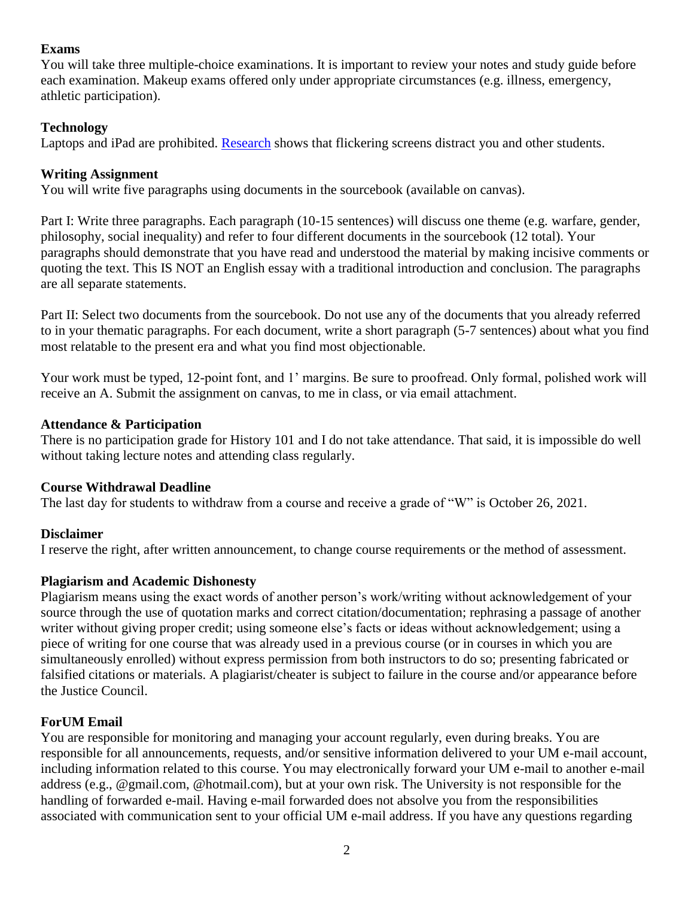## **Exams**

You will take three multiple-choice examinations. It is important to review your notes and study guide before each examination. Makeup exams offered only under appropriate circumstances (e.g. illness, emergency, athletic participation).

## **Technology**

Laptops and iPad are prohibited. [Research](https://www.insidehighered.com/news/2018/07/27/class-cellphone-and-laptop-use-lowers-exam-scores-new-study-shows) shows that flickering screens distract you and other students.

### **Writing Assignment**

You will write five paragraphs using documents in the sourcebook (available on canvas).

Part I: Write three paragraphs. Each paragraph (10-15 sentences) will discuss one theme (e.g. warfare, gender, philosophy, social inequality) and refer to four different documents in the sourcebook (12 total). Your paragraphs should demonstrate that you have read and understood the material by making incisive comments or quoting the text. This IS NOT an English essay with a traditional introduction and conclusion. The paragraphs are all separate statements.

Part II: Select two documents from the sourcebook. Do not use any of the documents that you already referred to in your thematic paragraphs. For each document, write a short paragraph (5-7 sentences) about what you find most relatable to the present era and what you find most objectionable.

Your work must be typed, 12-point font, and 1' margins. Be sure to proofread. Only formal, polished work will receive an A. Submit the assignment on canvas, to me in class, or via email attachment.

#### **Attendance & Participation**

There is no participation grade for History 101 and I do not take attendance. That said, it is impossible do well without taking lecture notes and attending class regularly.

#### **Course Withdrawal Deadline**

The last day for students to withdraw from a course and receive a grade of "W" is October 26, 2021.

## **Disclaimer**

I reserve the right, after written announcement, to change course requirements or the method of assessment.

#### **Plagiarism and Academic Dishonesty**

Plagiarism means using the exact words of another person's work/writing without acknowledgement of your source through the use of quotation marks and correct citation/documentation; rephrasing a passage of another writer without giving proper credit; using someone else's facts or ideas without acknowledgement; using a piece of writing for one course that was already used in a previous course (or in courses in which you are simultaneously enrolled) without express permission from both instructors to do so; presenting fabricated or falsified citations or materials. A plagiarist/cheater is subject to failure in the course and/or appearance before the Justice Council.

## **ForUM Email**

You are responsible for monitoring and managing your account regularly, even during breaks. You are responsible for all announcements, requests, and/or sensitive information delivered to your UM e-mail account, including information related to this course. You may electronically forward your UM e-mail to another e-mail address (e.g., @gmail.com, @hotmail.com), but at your own risk. The University is not responsible for the handling of forwarded e-mail. Having e-mail forwarded does not absolve you from the responsibilities associated with communication sent to your official UM e-mail address. If you have any questions regarding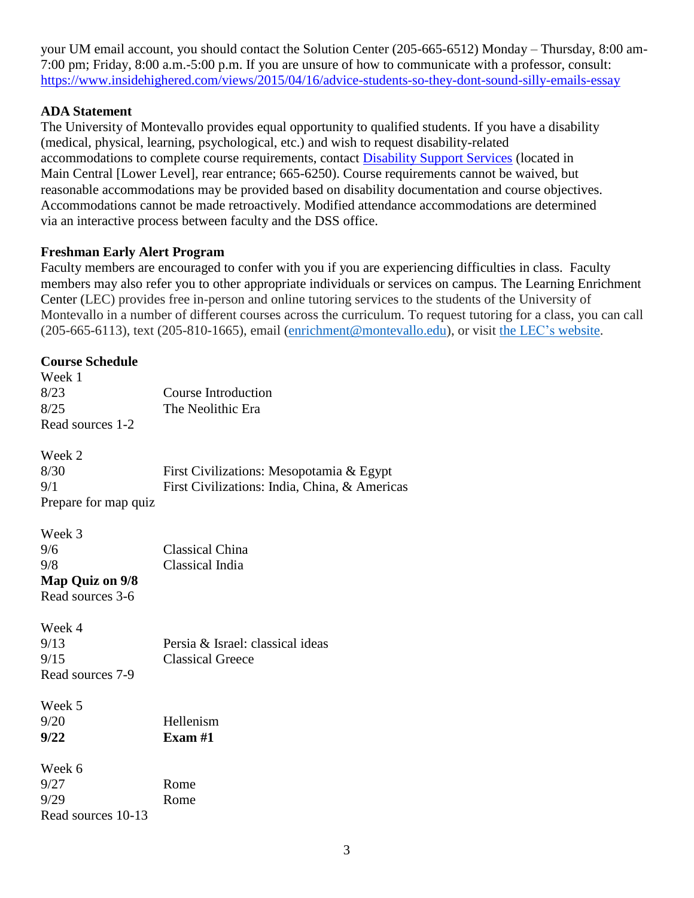your UM email account, you should contact the Solution Center (205-665-6512) Monday – Thursday, 8:00 am-7:00 pm; Friday, 8:00 a.m.-5:00 p.m. If you are unsure of how to communicate with a professor, consult: <https://www.insidehighered.com/views/2015/04/16/advice-students-so-they-dont-sound-silly-emails-essay>

## **ADA Statement**

The University of Montevallo provides equal opportunity to qualified students. If you have a disability (medical, physical, learning, psychological, etc.) and wish to request disability-related accommodations to complete course requirements, contact [Disability Support Services](https://www.montevallo.edu/campus-life/student-services/disability-support-services/) (located in Main Central [Lower Level], rear entrance; 665-6250). Course requirements cannot be waived, but reasonable accommodations may be provided based on disability documentation and course objectives. Accommodations cannot be made retroactively. Modified attendance accommodations are determined via an interactive process between faculty and the DSS office.

## **Freshman Early Alert Program**

Faculty members are encouraged to confer with you if you are experiencing difficulties in class. Faculty members may also refer you to other appropriate individuals or services on campus. The Learning Enrichment Center (LEC) provides free in-person and online tutoring services to the students of the University of Montevallo in a number of different courses across the curriculum. To request tutoring for a class, you can call (205-665-6113), text (205-810-1665), email [\(enrichment@montevallo.edu\)](mailto:enrichment@montevallo.edu), or visit the LEC's [website.](https://www.montevallo.edu/campus-life/student-services/academic-support/learning-enrichment-center/)

## **Course Schedule** Week 1 8/23 Course Introduction 8/25 The Neolithic Era Read sources 1-2 Week 2 8/30 First Civilizations: Mesopotamia & Egypt 9/1 First Civilizations: India, China, & Americas Prepare for map quiz Week 3 9/6 Classical China 9/8 Classical India **Map Quiz on 9/8** Read sources 3-6 Week 4 9/13 Persia & Israel: classical ideas 9/15 Classical Greece Read sources 7-9 Week 5 9/20 Hellenism **9/22 Exam #1** Week 6 9/27 Rome 9/29 Rome Read sources 10-13